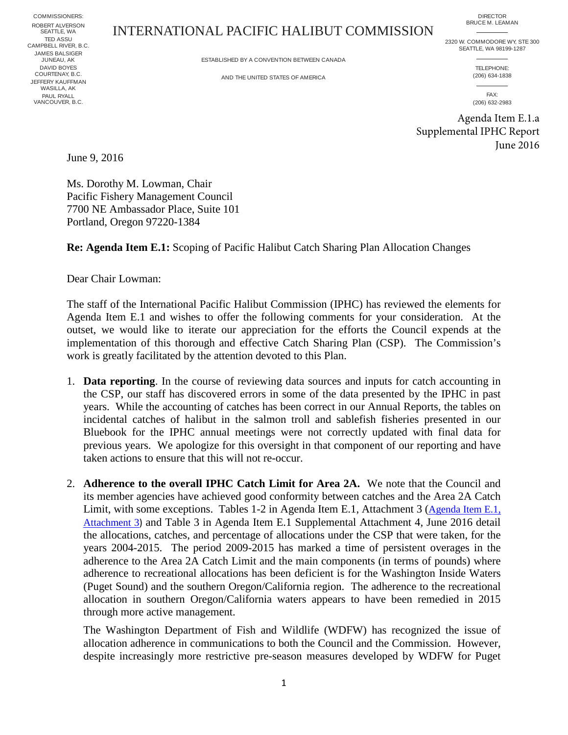COMMISSIONERS: JAMES BALSIGER JUNEAU, AK ROBERT ALVERSON SEATTLE, WA DAVID BOYES COURTENAY, B.C. TED ASSU CAMPBELL RIVER, B.C. PAUL RYALL VANCOUVER, B.C. JEFFERY KAUFFMAN WASILLA, AK

## INTERNATIONAL PACIFIC HALIBUT COMMISSION

DIRECTOR BRUCE M. LEAMAN

2320 W. COMMODORE WY, STE 300

ESTABLISHED BY A CONVENTION BETWEEN CANADA

AND THE UNITED STATES OF AMERICA

SEATTLE, WA 98199-1287 TELEPHONE: (206) 634-1838

> FAX: (206) 632-2983

Agenda Item E.1.a Supplemental IPHC Report June 2016

June 9, 2016

Ms. Dorothy M. Lowman, Chair Pacific Fishery Management Council 7700 NE Ambassador Place, Suite 101 Portland, Oregon 97220-1384

**Re: Agenda Item E.1:** Scoping of Pacific Halibut Catch Sharing Plan Allocation Changes

Dear Chair Lowman:

The staff of the International Pacific Halibut Commission (IPHC) has reviewed the elements for Agenda Item E.1 and wishes to offer the following comments for your consideration. At the outset, we would like to iterate our appreciation for the efforts the Council expends at the implementation of this thorough and effective Catch Sharing Plan (CSP). The Commission's work is greatly facilitated by the attention devoted to this Plan.

- 1. **Data reporting**. In the course of reviewing data sources and inputs for catch accounting in the CSP, our staff has discovered errors in some of the data presented by the IPHC in past years. While the accounting of catches has been correct in our Annual Reports, the tables on incidental catches of halibut in the salmon troll and sablefish fisheries presented in our Bluebook for the IPHC annual meetings were not correctly updated with final data for previous years. We apologize for this oversight in that component of our reporting and have taken actions to ensure that this will not re-occur.
- 2. **Adherence to the overall IPHC Catch Limit for Area 2A.** We note that the Council and its member agencies have achieved good conformity between catches and the Area 2A Catch Limit, with some exceptions. Tables 1-2 in Agenda Item E.1, Attachment 3 [\(Agenda Item E.1,](http://www.pcouncil.org/wp-content/uploads/2016/06/E1_Att3_Historical2004-2015_Catch_Allocation_JUN2016BB.pdf) [Attachment 3](http://www.pcouncil.org/wp-content/uploads/2016/06/E1_Att3_Historical2004-2015_Catch_Allocation_JUN2016BB.pdf)) and Table 3 in Agenda Item E.1 Supplemental Attachment 4, June 2016 detail the allocations, catches, and percentage of allocations under the CSP that were taken, for the years 2004-2015. The period 2009-2015 has marked a time of persistent overages in the adherence to the Area 2A Catch Limit and the main components (in terms of pounds) where adherence to recreational allocations has been deficient is for the Washington Inside Waters (Puget Sound) and the southern Oregon/California region. The adherence to the recreational allocation in southern Oregon/California waters appears to have been remedied in 2015 through more active management.

The Washington Department of Fish and Wildlife (WDFW) has recognized the issue of allocation adherence in communications to both the Council and the Commission. However, despite increasingly more restrictive pre-season measures developed by WDFW for Puget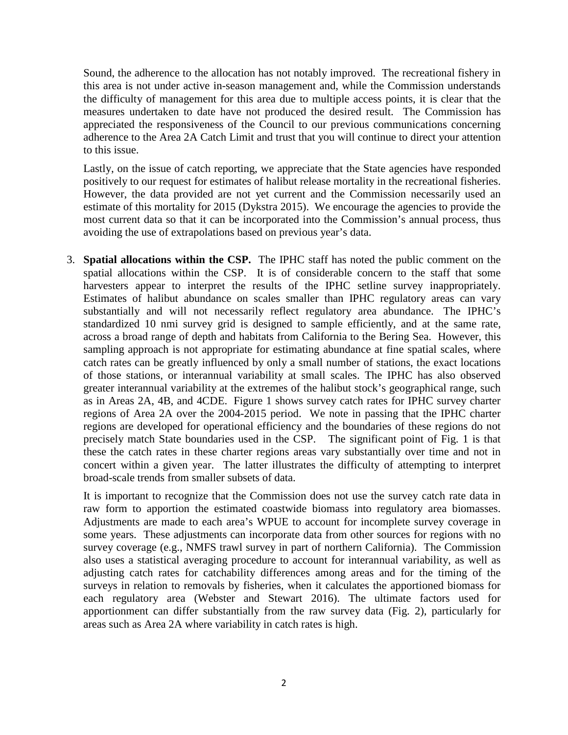Sound, the adherence to the allocation has not notably improved. The recreational fishery in this area is not under active in-season management and, while the Commission understands the difficulty of management for this area due to multiple access points, it is clear that the measures undertaken to date have not produced the desired result. The Commission has appreciated the responsiveness of the Council to our previous communications concerning adherence to the Area 2A Catch Limit and trust that you will continue to direct your attention to this issue.

Lastly, on the issue of catch reporting, we appreciate that the State agencies have responded positively to our request for estimates of halibut release mortality in the recreational fisheries. However, the data provided are not yet current and the Commission necessarily used an estimate of this mortality for 2015 (Dykstra 2015). We encourage the agencies to provide the most current data so that it can be incorporated into the Commission's annual process, thus avoiding the use of extrapolations based on previous year's data.

3. **Spatial allocations within the CSP.** The IPHC staff has noted the public comment on the spatial allocations within the CSP. It is of considerable concern to the staff that some harvesters appear to interpret the results of the IPHC setline survey inappropriately. Estimates of halibut abundance on scales smaller than IPHC regulatory areas can vary substantially and will not necessarily reflect regulatory area abundance. The IPHC's standardized 10 nmi survey grid is designed to sample efficiently, and at the same rate, across a broad range of depth and habitats from California to the Bering Sea. However, this sampling approach is not appropriate for estimating abundance at fine spatial scales, where catch rates can be greatly influenced by only a small number of stations, the exact locations of those stations, or interannual variability at small scales. The IPHC has also observed greater interannual variability at the extremes of the halibut stock's geographical range, such as in Areas 2A, 4B, and 4CDE. Figure 1 shows survey catch rates for IPHC survey charter regions of Area 2A over the 2004-2015 period. We note in passing that the IPHC charter regions are developed for operational efficiency and the boundaries of these regions do not precisely match State boundaries used in the CSP. The significant point of Fig. 1 is that these the catch rates in these charter regions areas vary substantially over time and not in concert within a given year. The latter illustrates the difficulty of attempting to interpret broad-scale trends from smaller subsets of data.

It is important to recognize that the Commission does not use the survey catch rate data in raw form to apportion the estimated coastwide biomass into regulatory area biomasses. Adjustments are made to each area's WPUE to account for incomplete survey coverage in some years. These adjustments can incorporate data from other sources for regions with no survey coverage (e.g., NMFS trawl survey in part of northern California). The Commission also uses a statistical averaging procedure to account for interannual variability, as well as adjusting catch rates for catchability differences among areas and for the timing of the surveys in relation to removals by fisheries, when it calculates the apportioned biomass for each regulatory area (Webster and Stewart 2016). The ultimate factors used for apportionment can differ substantially from the raw survey data (Fig. 2), particularly for areas such as Area 2A where variability in catch rates is high.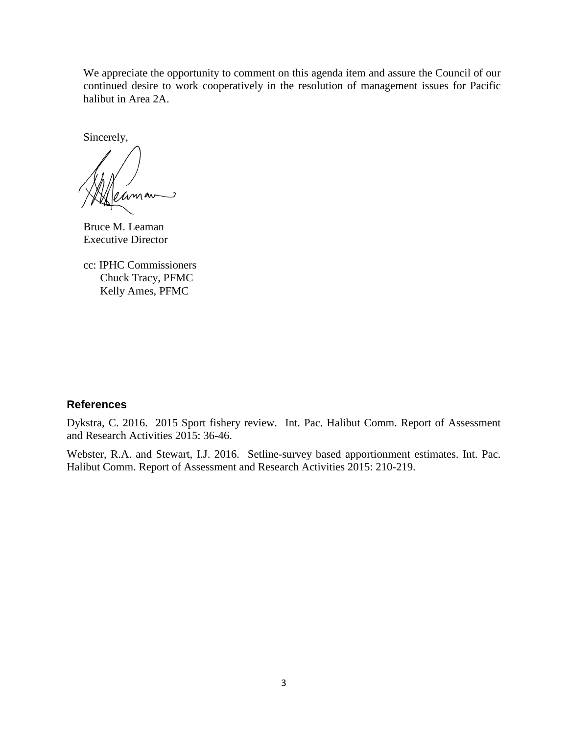We appreciate the opportunity to comment on this agenda item and assure the Council of our continued desire to work cooperatively in the resolution of management issues for Pacific halibut in Area 2A.

Sincerely,

ر

Bruce M. Leaman Executive Director

cc: IPHC Commissioners Chuck Tracy, PFMC Kelly Ames, PFMC

## **References**

Dykstra, C. 2016. 2015 Sport fishery review. Int. Pac. Halibut Comm. Report of Assessment and Research Activities 2015: 36-46.

Webster, R.A. and Stewart, I.J. 2016. Setline-survey based apportionment estimates. Int. Pac. Halibut Comm. Report of Assessment and Research Activities 2015: 210-219.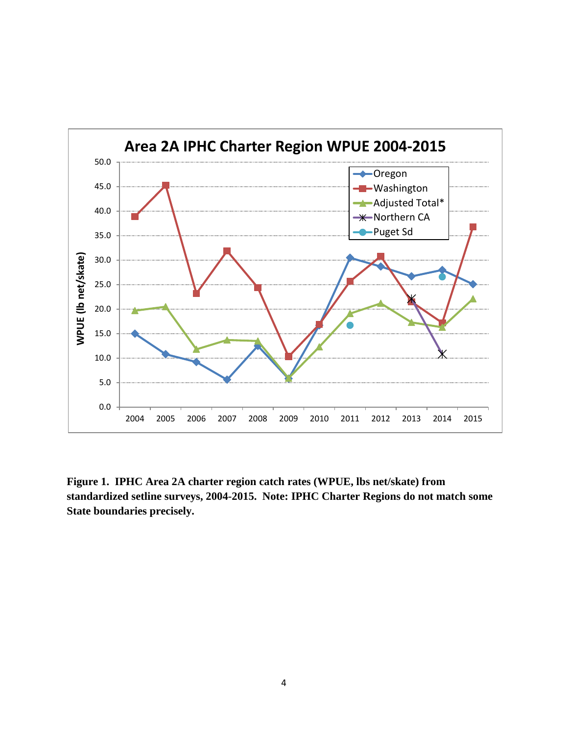

**Figure 1. IPHC Area 2A charter region catch rates (WPUE, lbs net/skate) from standardized setline surveys, 2004-2015. Note: IPHC Charter Regions do not match some State boundaries precisely.**